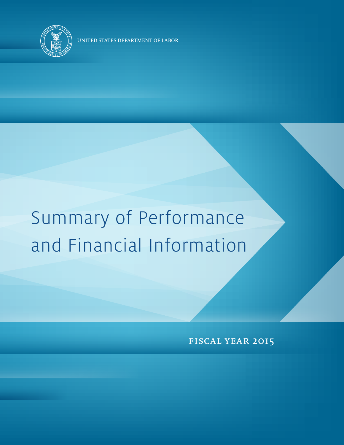

UNITED STATES DEPARTMENT OF LABOR

# Summary of Performance and Financial Information

fiscal year 2015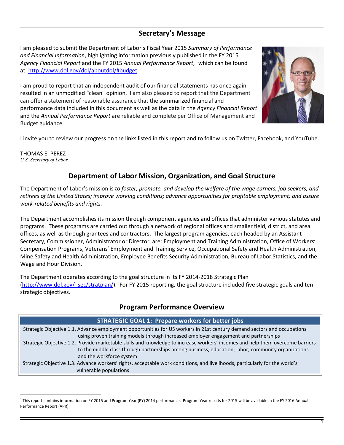## **Secretary's Message**

I am pleased to submit the Department of Labor's Fiscal Year 2015 *Summary of Performance and Financial Information*, highlighting information previously published in the FY 2015 *Agency Financial Report* and the FY 2015 *Annual Performance Report*, [1](#page-1-0) which can be found at: [http://www.dol.gov/dol/aboutdol/#](http://www.dol.gov/dol/aboutdol/)budget.

I am proud to report that an independent audit of our financial statements has once again resulted in an unmodified "clean" opinion. I am also pleased to report that the Department can offer a statement of reasonable assurance that the summarized financial and performance data included in this document as well as the data in the *Agency Financial Report* and the *Annual Performance Report* are reliable and complete per Office of Management and Budget guidance.



I invite you to review our progress on the links listed in this report and to follow us on Twitter, Facebook, and YouTube.

THOMAS E. PEREZ *U.S. Secretary of Labor*

 $\overline{a}$ 

## **Department of Labor Mission, Organization, and Goal Structure**

The Department of Labor's mission is *to foster, promote, and develop the welfare of the wage earners, job seekers, and retirees of the United States; improve working conditions; advance opportunities for profitable employment; and assure work-related benefits and rights.*

The Department accomplishes its mission through component agencies and offices that administer various statutes and programs. These programs are carried out through a network of regional offices and smaller field, district, and area offices, as well as through grantees and contractors. The largest program agencies, each headed by an Assistant Secretary, Commissioner, Administrator or Director, are: Employment and Training Administration, Office of Workers' Compensation Programs, Veterans' Employment and Training Service, Occupational Safety and Health Administration, Mine Safety and Health Administration, Employee Benefits Security Administration, Bureau of Labor Statistics, and the Wage and Hour Division.

The Department operates according to the goal structure in its FY 2014-2018 Strategic Plan (http://www.dol.gov/ sec/stratplan/). For FY 2015 reporting, the goal structure included five strategic goals and ten strategic objectives.

## **Program Performance Overview**

## **STRATEGIC GOAL 1: Prepare workers for better jobs** Strategic Objective 1.1. Advance employment opportunities for US workers in 21st century demand sectors and occupations using proven training models through increased employer engagement and partnerships Strategic Objective 1.2. Provide marketable skills and knowledge to increase workers' incomes and help them overcome barriers to the middle class through partnerships among business, education, labor, community organizations and the workforce system Strategic Objective 1.3. Advance workers' rights, acceptable work conditions, and livelihoods, particularly for the world's vulnerable populations

<span id="page-1-0"></span> $1$  This report contains information on FY 2015 and Program Year (PY) 2014 performance. Program Year results for 2015 will be available in the FY 2016 Annual Performance Report (APR).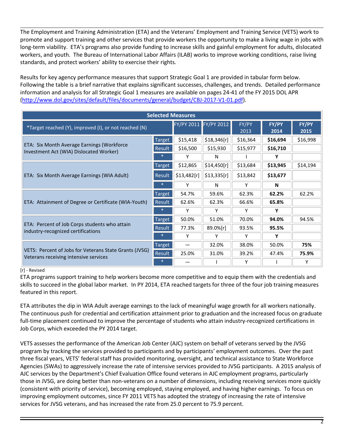The Employment and Training Administration (ETA) and the Veterans' Employment and Training Service (VETS) work to promote and support training and other services that provide workers the opportunity to make a living wage in jobs with long-term viability. ETA's programs also provide funding to increase skills and gainful employment for adults, dislocated workers, and youth. The Bureau of International Labor Affairs (ILAB) works to improve working conditions, raise living standards, and protect workers' ability to exercise their rights.

Results for key agency performance measures that support Strategic Goal 1 are provided in tabular form below. Following the table is a brief narrative that explains significant successes, challenges, and trends. Detailed performance information and analysis for all Strategic Goal 1 measures are available on pages 24-41 of the FY 2015 DOL APR [\(http://www.dol.gov/sites/default/files/documents/general/budget/CBJ-2017-V1-01.pdf\)](http://www.dol.gov/sites/default/files/documents/general/budget/CBJ-2017-V1-01.pdf).

| <b>Selected Measures</b>                                                                        |               |             |                       |               |               |               |
|-------------------------------------------------------------------------------------------------|---------------|-------------|-----------------------|---------------|---------------|---------------|
| *Target reached (Y), improved (I), or not reached (N)                                           |               |             | FY/PY 2011 FY/PY 2012 | FY/PY<br>2013 | FY/PY<br>2014 | FY/PY<br>2015 |
|                                                                                                 | Target        | \$15,418    | \$18,346[r]           | \$16,364      | \$16,694      | \$16,998      |
| ETA: Six Month Average Earnings (Workforce<br>Investment Act (WIA) Dislocated Worker)           | Result        | \$16,500    | \$15,930              | \$15,977      | \$16,710      |               |
|                                                                                                 |               | Υ           | N                     |               | Υ             |               |
| ETA: Six Month Average Earnings (WIA Adult)                                                     | Target        | \$12,865    | \$14,450[r]           | \$13,684      | \$13,945      | \$14,194      |
|                                                                                                 | Result        | \$13,482[r] | \$13,335[r]           | \$13,842      | \$13,677      |               |
|                                                                                                 |               | Υ           | N                     | Y             | N             |               |
|                                                                                                 | Target        | 54.7%       | 59.6%                 | 62.3%         | 62.2%         | 62.2%         |
| ETA: Attainment of Degree or Certificate (WIA-Youth)                                            | <b>Result</b> | 62.6%       | 62.3%                 | 66.6%         | 65.8%         |               |
|                                                                                                 | $\ast$        | Υ           | Υ                     | Y             | Υ             |               |
|                                                                                                 | Target        | 50.0%       | 51.0%                 | 70.0%         | 94.0%         | 94.5%         |
| ETA: Percent of Job Corps students who attain<br>industry-recognized certifications             | Result        | 77.3%       | 89.0%[r]              | 93.5%         | 95.5%         |               |
|                                                                                                 |               | Υ           | Υ                     | Y             | Υ             |               |
| VETS: Percent of Jobs for Veterans State Grants (JVSG)<br>Veterans receiving intensive services | <b>Target</b> |             | 32.0%                 | 38.0%         | 50.0%         | 75%           |
|                                                                                                 | Result        | 25.0%       | 31.0%                 | 39.2%         | 47.4%         | 75.9%         |
|                                                                                                 |               |             |                       | Υ             |               | Υ             |

#### [r] - Revised

ETA programs support training to help workers become more competitive and to equip them with the credentials and skills to succeed in the global labor market. In PY 2014, ETA reached targets for three of the four job training measures featured in this report.

ETA attributes the dip in WIA Adult average earnings to the lack of meaningful wage growth for all workers nationally. The continuous push for credential and certification attainment prior to graduation and the increased focus on graduate full-time placement continued to improve the percentage of students who attain industry-recognized certifications in Job Corps, which exceeded the PY 2014 target.

VETS assesses the performance of the American Job Center (AJC) system on behalf of veterans served by the JVSG program by tracking the services provided to participants and by participants' employment outcomes. Over the past three fiscal years, VETS' federal staff has provided monitoring, oversight, and technical assistance to State Workforce Agencies (SWAs) to aggressively increase the rate of intensive services provided to JVSG participants. A 2015 analysis of AJC services by the Department's Chief Evaluation Office found veterans in AJC employment programs, particularly those in JVSG, are doing better than non-veterans on a number of dimensions, including receiving services more quickly (consistent with priority of service), becoming employed, staying employed, and having higher earnings. To focus on improving employment outcomes, since FY 2011 VETS has adopted the strategy of increasing the rate of intensive services for JVSG veterans, and has increased the rate from 25.0 percent to 75.9 percent.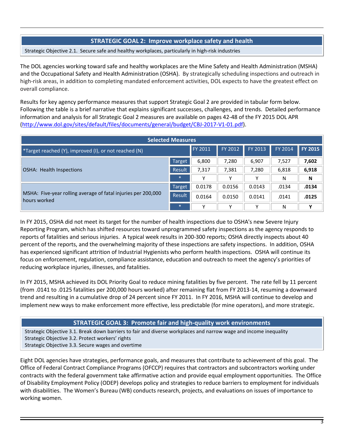## **STRATEGIC GOAL 2: Improve workplace safety and health**

Strategic Objective 2.1. Secure safe and healthy workplaces, particularly in high-risk industries

The DOL agencies working toward safe and healthy workplaces are the Mine Safety and Health Administration (MSHA) and the Occupational Safety and Health Administration (OSHA). By strategically scheduling inspections and outreach in high-risk areas, in addition to completing mandated enforcement activities, DOL expects to have the greatest effect on overall compliance.

Results for key agency performance measures that support Strategic Goal 2 are provided in tabular form below. Following the table is a brief narrative that explains significant successes, challenges, and trends. Detailed performance information and analysis for all Strategic Goal 2 measures are available on pages 42-48 of the FY 2015 DOL APR [\(http://www.dol.gov/sites/default/files/documents/general/budget/CBJ-2017-V1-01.pdf\)](http://www.dol.gov/sites/default/files/documents/general/budget/CBJ-2017-V1-01.pdf).

| <b>Selected Measures</b>                                                      |               |                |         |         |         |                |
|-------------------------------------------------------------------------------|---------------|----------------|---------|---------|---------|----------------|
| *Target reached (Y), improved (I), or not reached (N)                         |               | <b>FY 2011</b> | FY 2012 | FY 2013 | FY 2014 | <b>FY 2015</b> |
| <b>OSHA: Health Inspections</b>                                               | <b>Target</b> | 6,800          | 7,280   | 6,907   | 7,527   | 7,602          |
|                                                                               | Result        | 7,317          | 7,381   | 7,280   | 6,818   | 6,918          |
|                                                                               | $\ast$        | v              |         |         | Ν       | N              |
| MSHA: Five-year rolling average of fatal injuries per 200,000<br>hours worked | <b>Target</b> | 0.0178         | 0.0156  | 0.0143  | .0134   | .0134          |
|                                                                               | Result        | 0.0164         | 0.0150  | 0.0141  | .0141   | .0125          |
|                                                                               | $*$           | v              |         |         | Ν       | v              |

In FY 2015, OSHA did not meet its target for the number of health inspections due to OSHA's new Severe Injury Reporting Program, which has shifted resources toward unprogrammed safety inspections as the agency responds to reports of fatalities and serious injuries. A typical week results in 200-300 reports; OSHA directly inspects about 40 percent of the reports, and the overwhelming majority of these inspections are safety inspections. In addition, OSHA has experienced significant attrition of Industrial Hygienists who perform health inspections. OSHA will continue its focus on enforcement, regulation, compliance assistance, education and outreach to meet the agency's priorities of reducing workplace injuries, illnesses, and fatalities.

In FY 2015, MSHA achieved its DOL Priority Goal to reduce mining fatalities by five percent. The rate fell by 11 percent (from .0141 to .0125 fatalities per 200,000 hours worked) after remaining flat from FY 2013-14, resuming a downward trend and resulting in a cumulative drop of 24 percent since FY 2011. In FY 2016, MSHA will continue to develop and implement new ways to make enforcement more effective, less predictable (for mine operators), and more strategic.

## **STRATEGIC GOAL 3: Promote fair and high-quality work environments**

Strategic Objective 3.1. Break down barriers to fair and diverse workplaces and narrow wage and income inequality Strategic Objective 3.2. Protect workers' rights

Strategic Objective 3.3. Secure wages and overtime

Eight DOL agencies have strategies, performance goals, and measures that contribute to achievement of this goal. The Office of Federal Contract Compliance Programs (OFCCP) requires that contractors and subcontractors working under contracts with the federal government take affirmative action and provide equal employment opportunities. The Office of Disability Employment Policy (ODEP) develops policy and strategies to reduce barriers to employment for individuals with disabilities. The Women's Bureau (WB) conducts research, projects, and evaluations on issues of importance to working women.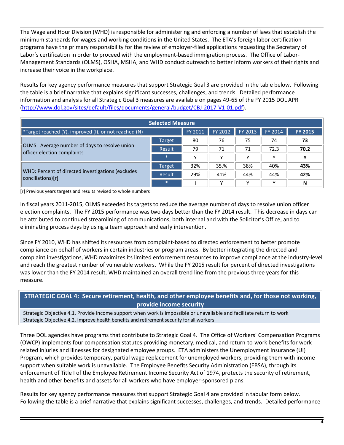The Wage and Hour Division (WHD) is responsible for administering and enforcing a number of laws that establish the minimum standards for wages and working conditions in the United States. The ETA's foreign labor certification programs have the primary responsibility for the review of employer-filed applications requesting the Secretary of Labor's certification in order to proceed with the employment-based immigration process. The Office of Labor-Management Standards (OLMS), OSHA, MSHA, and WHD conduct outreach to better inform workers of their rights and increase their voice in the workplace.

Results for key agency performance measures that support Strategic Goal 3 are provided in the table below. Following the table is a brief narrative that explains significant successes, challenges, and trends. Detailed performance information and analysis for all Strategic Goal 3 measures are available on pages 49-65 of the FY 2015 DOL APR [\(http://www.dol.gov/sites/default/files/documents/general/budget/CBJ-2017-V1-01.pdf\)](http://www.dol.gov/sites/default/files/documents/general/budget/CBJ-2017-V1-01.pdf).

| <b>Selected Measure</b>                                                      |               |             |                 |         |         |                |
|------------------------------------------------------------------------------|---------------|-------------|-----------------|---------|---------|----------------|
| <b>*Target reached (Y), improved (I), or not reached (N)</b>                 |               |             | FY 2011 FY 2012 | FY 2013 | FY 2014 | <b>FY 2015</b> |
| OLMS: Average number of days to resolve union<br>officer election complaints | Target        | 80          | 76              | 75      | 74      | 73             |
|                                                                              | Result        | 79          | 71              | 71      | 72.3    | 70.2           |
|                                                                              | $\ast$        | $\check{ }$ | $\check{ }$     |         |         | v              |
| WHD: Percent of directed investigations (excludes<br>conciliations)[r]       | Target        | 32%         | 35.%            | 38%     | 40%     | 43%            |
|                                                                              | <b>Result</b> | 29%         | 41%             | 44%     | 44%     | 42%            |
|                                                                              | $\ast$        |             | v               | v       |         | N              |

[r] Previous years targets and results revised to whole numbers

In fiscal years 2011-2015, OLMS exceeded its targets to reduce the average number of days to resolve union officer election complaints. The FY 2015 performance was two days better than the FY 2014 result. This decrease in days can be attributed to continued streamlining of communications, both internal and with the Solicitor's Office, and to eliminating process days by using a team approach and early intervention.

Since FY 2010, WHD has shifted its resources from complaint-based to directed enforcement to better promote compliance on behalf of workers in certain industries or program areas. By better integrating the directed and complaint investigations, WHD maximizes its limited enforcement resources to improve compliance at the industry-level and reach the greatest number of vulnerable workers. While the FY 2015 result for percent of directed investigations was lower than the FY 2014 result, WHD maintained an overall trend line from the previous three years for this measure.

## **STRATEGIC GOAL 4: Secure retirement, health, and other employee benefits and, for those not working, provide income security**

Strategic Objective 4.1. Provide income support when work is impossible or unavailable and facilitate return to work Strategic Objective 4.2. Improve health benefits and retirement security for all workers

Three DOL agencies have programs that contribute to Strategic Goal 4. The Office of Workers' Compensation Programs (OWCP) implements four compensation statutes providing monetary, medical, and return-to-work benefits for workrelated injuries and illnesses for designated employee groups. ETA administers the Unemployment Insurance (UI) Program, which provides temporary, partial wage replacement for unemployed workers, providing them with income support when suitable work is unavailable. The Employee Benefits Security Administration (EBSA), through its enforcement of Title I of the Employee Retirement Income Security Act of 1974, protects the security of retirement, health and other benefits and assets for all workers who have employer-sponsored plans.

Results for key agency performance measures that support Strategic Goal 4 are provided in tabular form below. Following the table is a brief narrative that explains significant successes, challenges, and trends. Detailed performance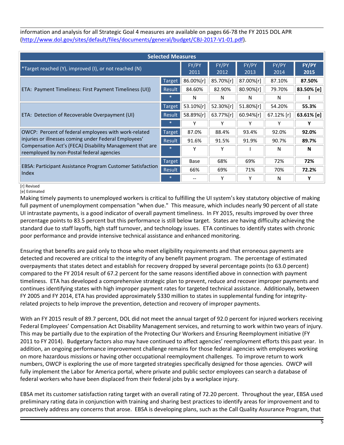information and analysis for all Strategic Goal 4 measures are available on pages 66-78 the FY 2015 DOL APR [\(http://www.dol.gov/sites/default/files/documents/general/budget/CBJ-2017-V1-01.pdf\)](http://www.dol.gov/sites/default/files/documents/general/budget/CBJ-2017-V1-01.pdf).

| <b>Selected Measures</b>                                                                              |               |               |               |               |               |               |
|-------------------------------------------------------------------------------------------------------|---------------|---------------|---------------|---------------|---------------|---------------|
| *Target reached (Y), improved (I), or not reached (N)                                                 |               | FY/PY<br>2011 | FY/PY<br>2012 | FY/PY<br>2013 | FY/PY<br>2014 | FY/PY<br>2015 |
|                                                                                                       | <b>Target</b> | 86.00%[r]     | 85.70%[r]     | 87.00%[r]     | 87.10%        | 87.50%        |
| ETA: Payment Timeliness: First Payment Timeliness (UI))                                               | Result        | 84.60%        | 82.90%        | 80.90%[r]     | 79.70%        | 83.50% [e]    |
|                                                                                                       |               | N             | N             | N             | N             |               |
|                                                                                                       | <b>Target</b> | 53.10%[r]     | 52.30%[r]     | 51.80%[r]     | 54.20%        | 55.3%         |
| ETA: Detection of Recoverable Overpayment (UI)                                                        | <b>Result</b> | 58.89%[r]     | 63.77%[r]     | 60.94%[r]     | 67.12% [r]    | 63.61% [e]    |
|                                                                                                       |               |               |               | Υ             | γ             |               |
| OWCP: Percent of federal employees with work-related                                                  | Target        | 87.0%         | 88.4%         | 93.4%         | 92.0%         | 92.0%         |
| injuries or illnesses coming under Federal Employees'                                                 | Result        | 91.6%         | 91.5%         | 91.9%         | 90.7%         | 89.7%         |
| Compensation Act's (FECA) Disability Management that are<br>reemployed by non-Postal federal agencies |               | Y             | Y             |               | N             | N             |
| EBSA: Participant Assistance Program Customer Satisfaction<br>Index                                   | Target        | Base          | 68%           | 69%           | 72%           | 72%           |
|                                                                                                       | Result        | 66%           | 69%           | 71%           | 70%           | 72.2%         |
|                                                                                                       |               |               | Υ             | Υ             | N             | γ             |

#### [r] Revised [e] Estimated

Making timely payments to unemployed workers is critical to fulfilling the UI system's key statutory objective of making full payment of unemployment compensation "when due." This measure, which includes nearly 90 percent of all state UI intrastate payments, is a good indicator of overall payment timeliness. In FY 2015, results improved by over three percentage points to 83.5 percent but this performance is still below target. States are having difficulty achieving the standard due to staff layoffs, high staff turnover, and technology issues. ETA continues to identify states with chronic poor performance and provide intensive technical assistance and enhanced monitoring.

Ensuring that benefits are paid only to those who meet eligibility requirements and that erroneous payments are detected and recovered are critical to the integrity of any benefit payment program. The percentage of estimated overpayments that states detect and establish for recovery dropped by several percentage points (to 63.0 percent) compared to the FY 2014 result of 67.2 percent for the same reasons identified above in connection with payment timeliness. ETA has developed a comprehensive strategic plan to prevent, reduce and recover improper payments and continues identifying states with high improper payment rates for targeted technical assistance. Additionally, between FY 2005 and FY 2014, ETA has provided approximately \$330 million to states in supplemental funding for integrityrelated projects to help improve the prevention, detection and recovery of improper payments.

With an FY 2015 result of 89.7 percent, DOL did not meet the annual target of 92.0 percent for injured workers receiving Federal Employees' Compensation Act Disability Management services, and returning to work within two years of injury. This may be partially due to the expiration of the Protecting Our Workers and Ensuring Reemployment initiative (FY 2011 to FY 2014). Budgetary factors also may have continued to affect agencies' reemployment efforts this past year. In addition, an ongoing performance improvement challenge remains for those federal agencies with employees working on more hazardous missions or having other occupational reemployment challenges. To improve return to work numbers, OWCP is exploring the use of more targeted strategies specifically designed for those agencies. OWCP will fully implement the Labor for America portal, where private and public sector employees can search a database of federal workers who have been displaced from their federal jobs by a workplace injury.

EBSA met its customer satisfaction rating target with an overall rating of 72.20 percent. Throughout the year, EBSA used preliminary rating data in conjunction with training and sharing best practices to identify areas for improvement and to proactively address any concerns that arose. EBSA is developing plans, such as the Call Quality Assurance Program, that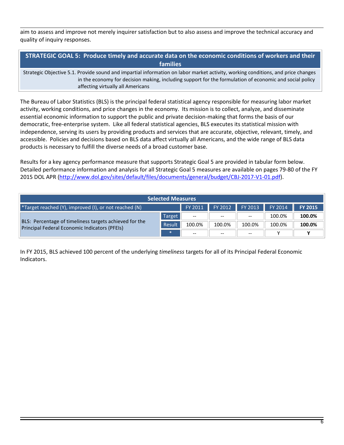aim to assess and improve not merely inquirer satisfaction but to also assess and improve the technical accuracy and quality of inquiry responses.

**STRATEGIC GOAL 5: Produce timely and accurate data on the economic conditions of workers and their families**

Strategic Objective 5.1. Provide sound and impartial information on labor market activity, working conditions, and price changes in the economy for decision making, including support for the formulation of economic and social policy affecting virtually all Americans

The Bureau of Labor Statistics (BLS) is the principal federal statistical agency responsible for measuring labor market activity, working conditions, and price changes in the economy. Its mission is to collect, analyze, and disseminate essential economic information to support the public and private decision-making that forms the basis of our democratic, free-enterprise system. Like all federal statistical agencies, BLS executes its statistical mission with independence, serving its users by providing products and services that are accurate, objective, relevant, timely, and accessible. Policies and decisions based on BLS data affect virtually all Americans, and the wide range of BLS data products is necessary to fulfill the diverse needs of a broad customer base.

Results for a key agency performance measure that supports Strategic Goal 5 are provided in tabular form below. Detailed performance information and analysis for all Strategic Goal 5 measures are available on pages 79-80 of the FY 2015 DOL APR [\(http://www.dol.gov/sites/default/files/documents/general/budget/CBJ-2017-V1-01.pdf\)](http://www.dol.gov/sites/default/files/documents/general/budget/CBJ-2017-V1-01.pdf).

| <b>Selected Measures</b>                                                                                               |        |                          |                          |                          |        |        |
|------------------------------------------------------------------------------------------------------------------------|--------|--------------------------|--------------------------|--------------------------|--------|--------|
| FY 2012 FY 2013<br>FY 2014<br><b>FY 2015</b><br>FY 2011<br><b>Target reached (Y), improved (I), or not reached (N)</b> |        |                          |                          |                          |        |        |
| BLS: Percentage of timeliness targets achieved for the<br>Principal Federal Economic Indicators (PFEIs)                | Target | $--$                     | $\hspace{0.05cm} \ldots$ | $\overline{\phantom{m}}$ | 100.0% | 100.0% |
|                                                                                                                        | Result | 100.0%                   | 100.0%                   | 100.0%                   | 100.0% | 100.0% |
|                                                                                                                        |        | $\overline{\phantom{m}}$ | $- -$                    | $-$                      |        |        |

In FY 2015, BLS achieved 100 percent of the underlying *timeliness* targets for all of its Principal Federal Economic Indicators.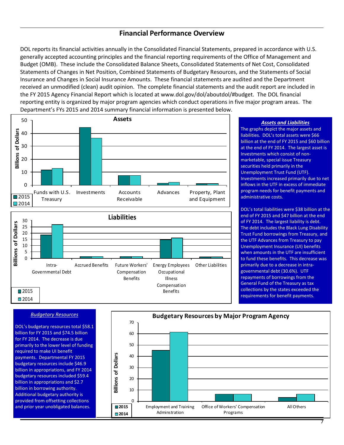## **Financial Performance Overview**

DOL reports its financial activities annually in the Consolidated Financial Statements, prepared in accordance with U.S. generally accepted accounting principles and the financial reporting requirements of the Office of Management and Budget (OMB). These include the Consolidated Balance Sheets, Consolidated Statements of Net Cost, Consolidated Statements of Changes in Net Position, Combined Statements of Budgetary Resources, and the Statements of Social Insurance and Changes in Social Insurance Amounts. These financial statements are audited and the Department received an unmodified (clean) audit opinion. The complete financial statements and the audit report are included in the FY 2015 Agency Financial Report which is located at www.dol.gov/dol/aboutdol/#budget. The DOL financial reporting entity is organized by major program agencies which conduct operations in five major program areas. The Department's FYs 2015 and 2014 summary financial information is presented below.





#### *Budgetary Resources*

DOL's budgetary resources total \$58.1 billion for FY 2015 and \$74.5 billion for FY 2014. The decrease is due primarily to the lower level of funding required to make UI benefit payments. Departmental FY 2015 budgetary resources include \$46.9 billion in appropriations, and FY 2014 budgetary resources included \$59.4 billion in appropriations and \$2.7 billion in borrowing authority. Additional budgetary authority is provided from offsetting collections and prior year unobligated balances.



#### *Assets and Liabilities*

The graphs depict the major assets and liabilities. DOL's total assets were \$66 billion at the end of FY 2015 and \$60 billion at the end of FY 2014. The largest asset is Investments which consist of nonmarketable, special issue Treasury securities held primarily in the Unemployment Trust Fund (UTF). Investments increased primarily due to net inflows in the UTF in excess of immediate program needs for benefit payments and administrative costs.

DOL's total liabilities were \$38 billion at the end of FY 2015 and \$47 billion at the end of FY 2014. The largest liability is debt. The debt includes the Black Lung Disability Trust Fund borrowings from Treasury, and the UTF Advances from Treasury to pay Unemployment Insurance (UI) benefits when amounts in the UTF are insufficient to fund these benefits. This decrease was primarily due to a decrease in intragovernmental debt (30.6%). UTF repayments of borrowings from the General Fund of the Treasury as tax collections by the states exceeded the requirements for benefit payments.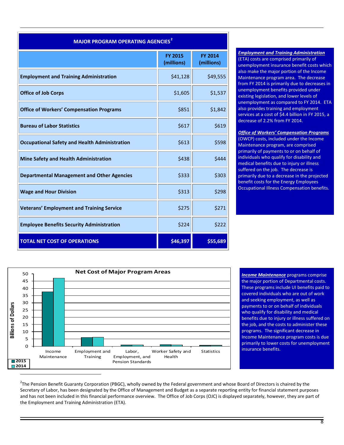| <b>MAJOR PROGRAM OPERATING AGENCIES<sup>2</sup></b>  |                              |                              |  |  |  |
|------------------------------------------------------|------------------------------|------------------------------|--|--|--|
|                                                      | <b>FY 2015</b><br>(millions) | <b>FY 2014</b><br>(millions) |  |  |  |
| <b>Employment and Training Administration</b>        | \$41,128                     | \$49,555                     |  |  |  |
| <b>Office of Job Corps</b>                           | \$1,605                      | \$1,537                      |  |  |  |
| <b>Office of Workers' Compensation Programs</b>      | \$851                        | \$1,842                      |  |  |  |
| <b>Bureau of Labor Statistics</b>                    | \$617                        | \$619                        |  |  |  |
| <b>Occupational Safety and Health Administration</b> | \$613                        | \$598                        |  |  |  |
| <b>Mine Safety and Health Administration</b>         | \$438                        | \$444                        |  |  |  |
| <b>Departmental Management and Other Agencies</b>    | \$333                        | \$303                        |  |  |  |
| <b>Wage and Hour Division</b>                        | \$313                        | \$298                        |  |  |  |
| <b>Veterans' Employment and Training Service</b>     | \$275                        | \$271                        |  |  |  |
| <b>Employee Benefits Security Administration</b>     | \$224                        | \$222                        |  |  |  |
| <b>TOTAL NET COST OF OPERATIONS</b>                  | \$46,397                     | \$55,689                     |  |  |  |

#### *Employment and Training Administration* (ETA) costs are comprised primarily of unemployment insurance benefit costs which also make the major portion of the Income Maintenance program area. The decrease from FY 2014 is primarily due to decreases in unemployment benefits provided under existing legislation, and lower levels of unemployment as compared to FY 2014. ETA also provides training and employment services at a cost of \$4.4 billion in FY 2015, a decrease of 2.2% from FY 2014.

#### *Office of Workers' Compensation Programs*

(OWCP) costs, included under the Income Maintenance program, are comprised primarily of payments to or on behalf of individuals who qualify for disability and medical benefits due to injury or illness suffered on the job. The decrease is primarily due to a decrease in the projected benefit costs for the Energy Employees Occupational Illness Compensation benefits.



*Income Maintenance* programs comprise the major portion of Departmental costs. These programs include UI benefits paid to covered individuals who are out of work and seeking employment, as well as payments to or on behalf of individuals who qualify for disability and medical benefits due to injury or illness suffered on the job, and the costs to administer these programs. The significant decrease in Income Maintenance program costs is due primarily to lower costs for unemployment insurance benefits.

<span id="page-8-0"></span> $2$ The Pension Benefit Guaranty Corporation (PBGC), wholly owned by the Federal government and whose Board of Directors is chaired by the Secretary of Labor, has been designated by the Office of Management and Budget as a separate reporting entity for financial statement purposes and has not been included in this financial performance overview. The Office of Job Corps (OJC) is displayed separately, however, they are part of the Employment and Training Administration (ETA).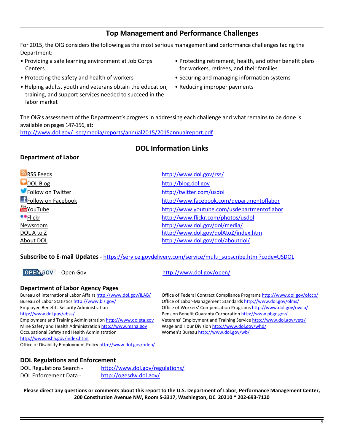## **Top Management and Performance Challenges**

For 2015, the OIG considers the following as the most serious management and performance challenges facing the Department:

- Providing a safe learning environment at Job Corps **Centers**
- 
- Helping adults, youth and veterans obtain the education, training, and support services needed to succeed in the labor market
- Protecting retirement, health, and other benefit plans for workers, retirees, and their families
- Protecting the safety and health of workers Securing and managing information systems
	- Reducing improper payments

The OIG's assessment of the Department's progress in addressing each challenge and what remainsto be done is available on pages 147-156, at:

[http://www.dol.gov/\\_sec/media/reports/annual2015/2015annualreport.pdf](http://www.dol.gov/_sec/media/reports/annual2015/2015annualreport.pdf)

## **DOL Information Links**

## **Department of Labor**

| <b>RSS Feeds</b>    | http://www.dol.gov/rss/                    |
|---------------------|--------------------------------------------|
| DOL Blog            | http://blog.dol.gov                        |
| Follow on Twitter   | http://twitter.com/usdol                   |
| FFollow on Facebook | http://www.facebook.com/departmentoflabor  |
| YouTube             | http://www.youtube.com/usdepartmentoflabor |
| <b>•</b> Flickr     | http://www.flickr.com/photos/usdol         |
| Newsroom            | http://www.dol.gov/dol/media/              |
| DOL A to Z          | http://www.dol.gov/dolAtoZ/index.htm       |
| About DOL           | http://www.dol.gov/dol/aboutdol/           |
|                     |                                            |

#### **Subscribe to E-mail Updates** - [https://service.govdelivery.com/service/multi\\_subscribe.html?code=USDOL](https://service.govdelivery.com/service/multi_subscribe.html?code=USDOL)

Open Gov <http://www.dol.gov/open/>

#### **Department of Labor Agency Pages**

<http://www.dol.gov/ebsa/>Pension Benefit Guaranty Corporatio[n http://www.pbgc.gov/](http://www.pbgc.gov/) Mine Safety and Health Administratio[n http://www.msha.gov](http://www.msha.gov/) Wage and Hour Division<http://www.dol.gov/whd/> Occupational Safety and Health Administration Women's Bureau<http://www.dol.gov/wb/> <http://www.osha.gov/index.html> Office of Disability Employment Policy <http://www.dol.gov/odep/>

Bureau of International Labor Affairs<http://www.dol.gov/ILAB/> Office of Federal Contract Compliance Program[s http://www.dol.gov/ofccp/](http://www.dol.gov/ofccp/) Bureau of Labor Statistics <http://www.bls.gov/>Office of Labor-Management Standard[s http://www.dol.gov/olms/](http://www.dol.gov/olms/) Employee Benefits Security Administration **Computer Compensation Program[s http://www.dol.gov/owcp/](http://www.dol.gov/owcp/)** Employment and Training Administratio[n http://www.doleta.gov](http://www.doleta.gov/) Veterans' Employment and Training Servic[e http://www.dol.gov/vets/](http://www.dol.gov/vets/)

#### **DOL Regulations and Enforcement**

| <b>DOL Regulations Search -</b> | http://www.dol.gov/regulations/ |
|---------------------------------|---------------------------------|
| <b>DOL Enforcement Data -</b>   | http://ogesdw.dol.gov/          |

**Please direct any questions or comments about this report to the U.S. Department of Labor, Performance Management Center, 200 Constitution Avenue NW, Room S-3317, Washington, DC 20210 \* 202-693-7120**